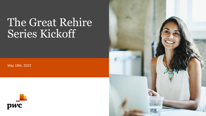# The Great Rehire Series Kickoff

May 18th, 2022



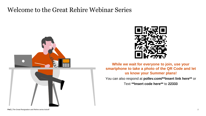#### Welcome to the Great Rehire Webinar Series





**While we wait for everyone to join, use your smartphone to take a photo of the QR Code and let us know your Summer plans!**

You can also respond at **pollev.com/\*\*Insert link here\*\*** or

Text **\*\*Insert code here\*\*** to **22333**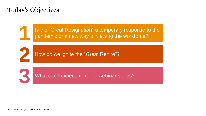#### Today's Objectives

**1**

**2**

**3**

Is the "Great Resignation" a temporary response to the pandemic or a new way of viewing the workforce?

How do we ignite the "Great Rehire"?

What can I expect from this webinar series?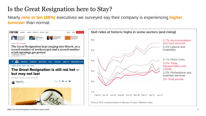## Is the Great Resignation here to Stay?

Nearly **nine in ten (88%)** executives we surveyed say their company is experiencing **higher turnover** than normal.

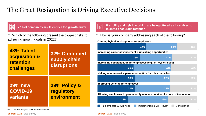#### The Great Resignation is Driving Executive Decisions



**77% of companies say talent is a top growth driver**

Q: Which of the following present the biggest risks to achieving growth goals in 2022?

| <b>48% Talent</b><br><b>acquisition &amp;</b><br>retention<br>challenges | <b>32% Continued</b><br>supply chain<br>disruptions |  |
|--------------------------------------------------------------------------|-----------------------------------------------------|--|
| <b>29% new</b>                                                           | 29% Policy &                                        |  |
| <b>COVID-19</b>                                                          | regulatory                                          |  |
| variants                                                                 | environment                                         |  |

**Flexibility and hybrid working are being offered as incentives to talent to encourage retention**

Q: How is your company addressing each of the following?

**Offering hybrid work options for employees**

|                                                                              | 43%                        | 29%         | 18% |  |
|------------------------------------------------------------------------------|----------------------------|-------------|-----|--|
| Increasing career advancement & upskilling opportunities                     |                            |             |     |  |
| 36%                                                                          | 27%                        |             | 21% |  |
| Increasing compensation for employees (e.g., off-cycle raises)               |                            |             |     |  |
| 31%                                                                          | 32%                        |             | 22% |  |
| Making remote work a permanent option for roles that allow                   |                            |             |     |  |
| 30%                                                                          | 28%                        |             | 22% |  |
| Improving benefits for employees                                             |                            |             |     |  |
| 30%                                                                          | 28%                        |             | 21% |  |
| Allowing employees to permanently relocate outside of a core office location |                            |             |     |  |
| 23%                                                                          | 28%                        |             | 21% |  |
| Implemented & Will Keep                                                      | Implemented & Will Revisit | Considering |     |  |

**PwC |** The Great Resignation and Rehire series kickoff 5

**Source:** 2022 [Pulse Survey](https://www.pwc.com/us/en/library/pulse-survey/executive-views-2022/chro.html) **Source:** 2022 [Pulse Survey](https://www.pwc.com/us/en/library/pulse-survey/executive-views-2022/chro.html)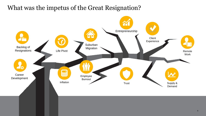#### What was the impetus of the Great Resignation?

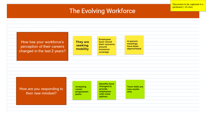#### The Evolving Workforce

Discussion to be captured in a

jamboard (~15 min)

**Employees** In-person How has your workforce's They are have voiced meetings their concerns seeking perception of their careers have been around mobility deprioritized insurance changed in the last 2 years? coverage **Benefits have** changed to Analyzing **Town Halls are** How are you responding to provide now onsite career employees progression only their new mindset? with more paths options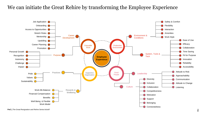We can initiate the Great Rehire by transforming the Employee Experience

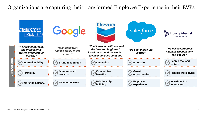Organizations are capturing their transformed Employee Experience in their EVPs

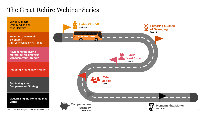### The Great Rehire Webinar Series